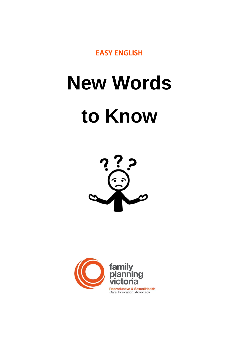**EASY ENGLISH**

# **New Words to Know**



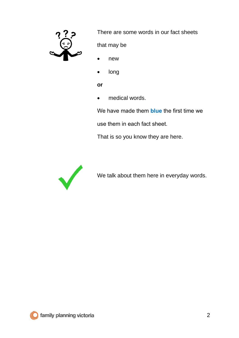

There are some words in our fact sheets

that may be

- new
- long

**or**

• medical words.

We have made them **blue** the first time we

use them in each fact sheet.

That is so you know they are here.



We talk about them here in everyday words.

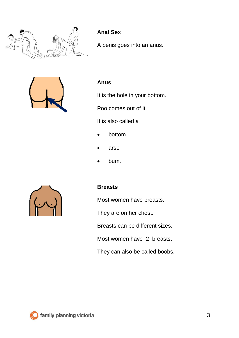

# **Anal Sex**

A penis goes into an anus.



#### **Anus**

It is the hole in your bottom.

Poo comes out of it.

It is also called a

- bottom
- arse
- bum.



#### **Breasts**

Most women have breasts.

They are on her chest.

Breasts can be different sizes.

Most women have 2 breasts.

They can also be called boobs.

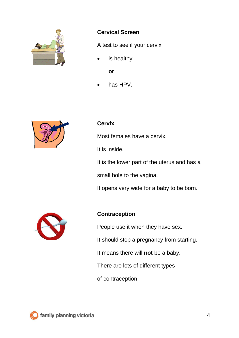

#### **Cervical Screen**

A test to see if your cervix

is healthy

**or**

has HPV.



#### **Cervix**

Most females have a cervix.

It is inside.

It is the lower part of the uterus and has a small hole to the vagina.

It opens very wide for a baby to be born.



# **Contraception**

People use it when they have sex.

It should stop a pregnancy from starting.

It means there will **not** be a baby.

There are lots of different types

of contraception.

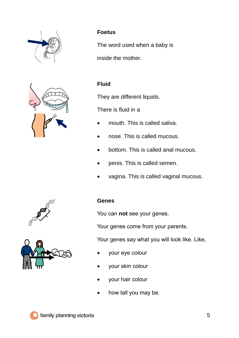



# **Foetus**

The word used when a baby is inside the mother.

## **Fluid**

They are different liquids.

There is fluid in a

- mouth. This is called saliva.
- nose. This is called mucous.
- bottom. This is called anal mucous.
- penis. This is called semen.
- vagina. This is called vaginal mucous.



#### **Genes**

You can **not** see your genes.

Your genes come from your parents.

Your genes say what you will look like. Like,

- your eye colour
- your skin colour
- your hair colour
- how tall you may be.



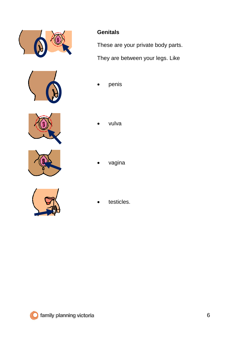



# **Genitals**

These are your private body parts.

They are between your legs. Like

penis



• vulva



• vagina



testicles.

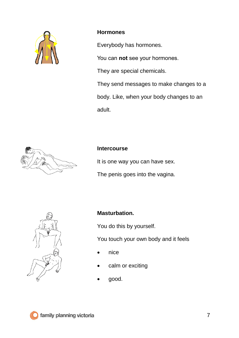

#### **Hormones**

Everybody has hormones.

You can **not** see your hormones.

They are special chemicals.

They send messages to make changes to a body. Like, when your body changes to an adult.



#### **Intercourse**

It is one way you can have sex.

The penis goes into the vagina.



#### **Masturbation.**

You do this by yourself.

You touch your own body and it feels

- nice
- calm or exciting
- good.

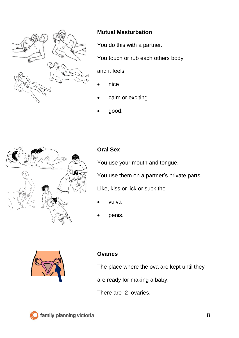

#### **Mutual Masturbation**

You do this with a partner.

You touch or rub each others body

and it feels

- nice
- calm or exciting
- good.



# **Oral Sex**

You use your mouth and tongue.

You use them on a partner's private parts.

Like, kiss or lick or suck the

- vulva
- penis.



#### **Ovaries**

The place where the ova are kept until they

are ready for making a baby.

There are 2 ovaries.

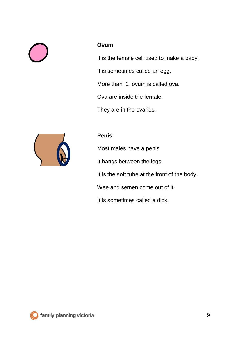#### **Ovum**

It is the female cell used to make a baby.

It is sometimes called an egg.

More than 1 ovum is called ova.

Ova are inside the female.

They are in the ovaries.



#### **Penis**

Most males have a penis. It hangs between the legs. It is the soft tube at the front of the body. Wee and semen come out of it. It is sometimes called a dick.

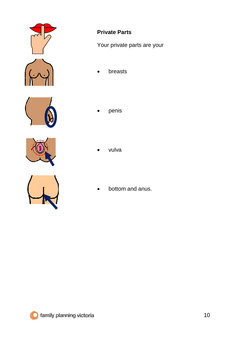





# **Private Parts**

Your private parts are your

- breasts
- penis
- vulva
- bottom and anus.

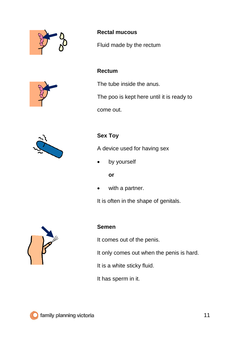





# **Rectal mucous**

Fluid made by the rectum

#### **Rectum**

The tube inside the anus.

The poo is kept here until it is ready to

come out.

# **Sex Toy**

A device used for having sex

• by yourself

#### **or**

with a partner.

It is often in the shape of genitals.



#### **Semen**

It comes out of the penis.

It only comes out when the penis is hard.

It is a white sticky fluid.

It has sperm in it.

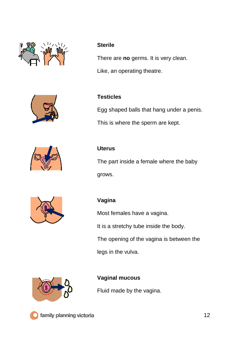





#### **Sterile**

There are **no** germs. It is very clean.

Like, an operating theatre.

#### **Testicles**

Egg shaped balls that hang under a penis.

This is where the sperm are kept.

The part inside a female where the baby grows.



# **Vagina**

**Uterus**

Most females have a vagina.

It is a stretchy tube inside the body.

The opening of the vagina is between the

legs in the vulva.



# **Vaginal mucous**

Fluid made by the vagina.

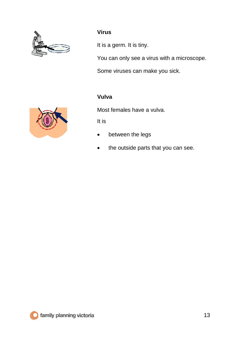

## **Virus**

It is a germ. It is tiny.

You can only see a virus with a microscope.

Some viruses can make you sick.

#### **Vulva**

Most females have a vulva.

It is

- between the legs
- the outside parts that you can see.